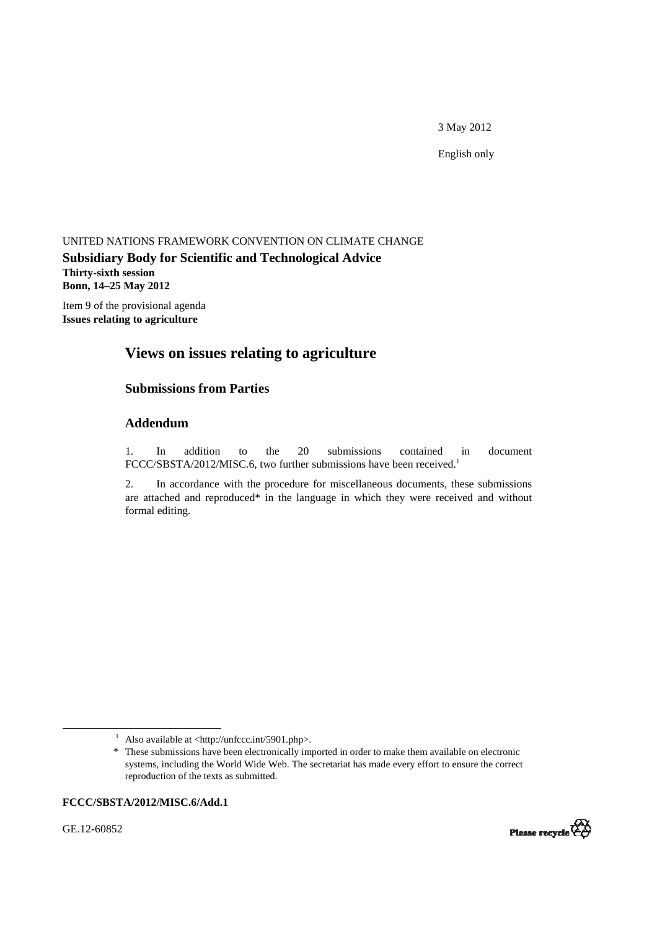3 May 2012

English only

#### UNITED NATIONS FRAMEWORK CONVENTION ON CLIMATE CHANGE

**Subsidiary Body for Scientific and Technological Advice Thirty-sixth session Bonn, 14–25 May 2012** 

Item 9 of the provisional agenda **Issues relating to agriculture** 

# **Views on issues relating to agriculture**

# **Submissions from Parties**

#### **Addendum**

1. In addition to the 20 submissions contained in document FCCC/SBSTA/2012/MISC.6, two further submissions have been received.<sup>1</sup>

2. In accordance with the procedure for miscellaneous documents, these submissions are attached and reproduced\* in the language in which they were received and without formal editing.

#### **FCCC/SBSTA/2012/MISC.6/Add.1**

GE.12-60852



<sup>&</sup>lt;u>1</u>  $\frac{1}{1}$  Also available at <http://unfccc.int/5901.php>.

<sup>\*</sup> These submissions have been electronically imported in order to make them available on electronic systems, including the World Wide Web. The secretariat has made every effort to ensure the correct reproduction of the texts as submitted.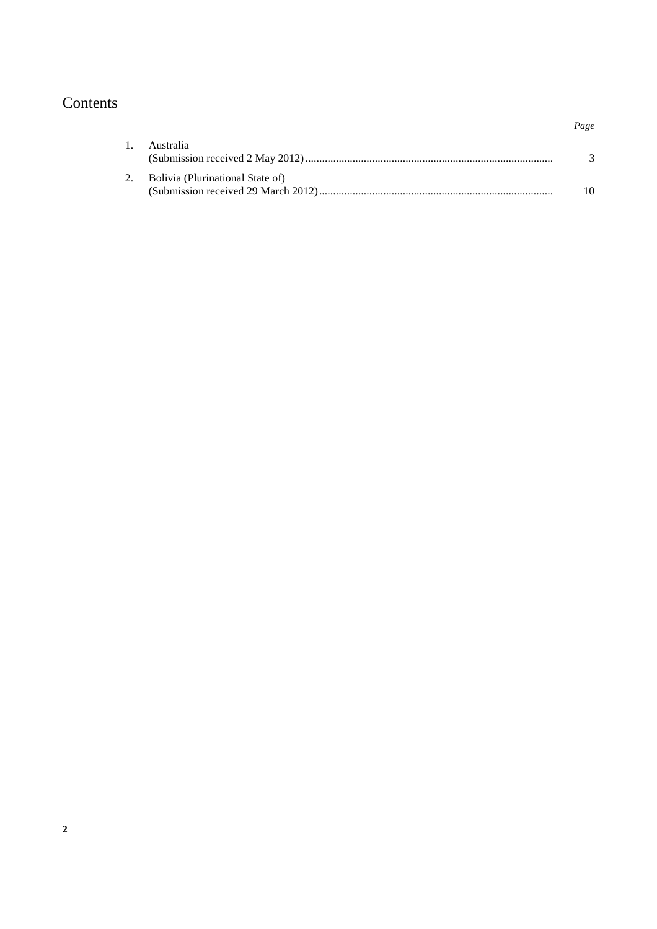# Contents

| 1. Australia                        |    |
|-------------------------------------|----|
| 2. Bolivia (Plurinational State of) | 10 |

 *Page*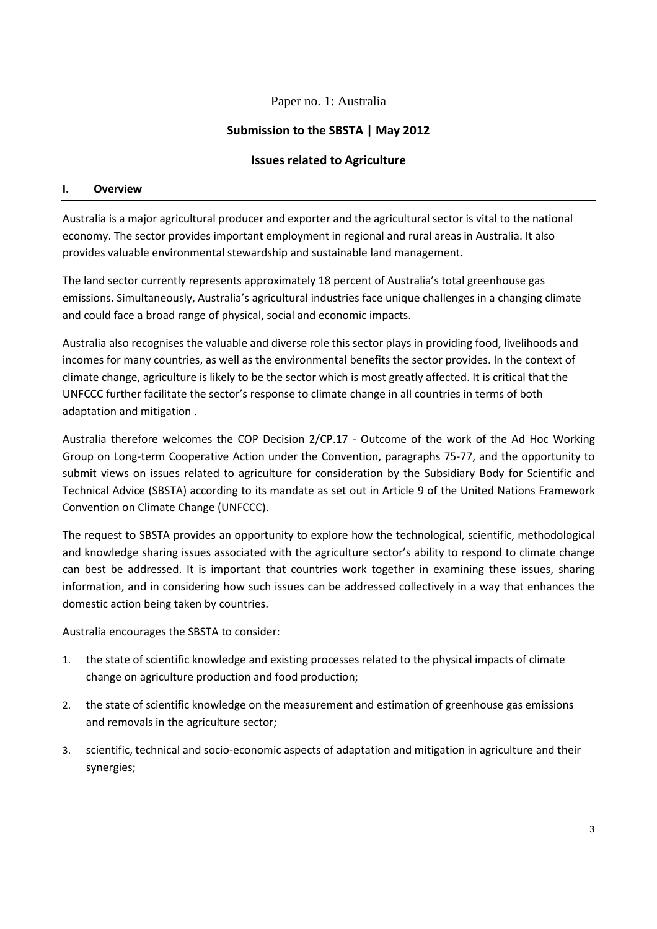# Paper no. 1: Australia

# **Submission to the SBSTA | May 2012**

# **Issues related to Agriculture**

#### **I. Overview**

Australia is a major agricultural producer and exporter and the agricultural sector is vital to the national economy. The sector provides important employment in regional and rural areas in Australia. It also provides valuable environmental stewardship and sustainable land management.

The land sector currently represents approximately 18 percent of Australia's total greenhouse gas emissions. Simultaneously, Australia's agricultural industries face unique challenges in a changing climate and could face a broad range of physical, social and economic impacts.

Australia also recognises the valuable and diverse role this sector plays in providing food, livelihoods and incomes for many countries, as well as the environmental benefits the sector provides. In the context of climate change, agriculture is likely to be the sector which is most greatly affected. It is critical that the UNFCCC further facilitate the sector's response to climate change in all countries in terms of both adaptation and mitigation .

Australia therefore welcomes the COP Decision 2/CP.17 - Outcome of the work of the Ad Hoc Working Group on Long-term Cooperative Action under the Convention, paragraphs 75-77, and the opportunity to submit views on issues related to agriculture for consideration by the Subsidiary Body for Scientific and Technical Advice (SBSTA) according to its mandate as set out in Article 9 of the United Nations Framework Convention on Climate Change (UNFCCC).

The request to SBSTA provides an opportunity to explore how the technological, scientific, methodological and knowledge sharing issues associated with the agriculture sector's ability to respond to climate change can best be addressed. It is important that countries work together in examining these issues, sharing information, and in considering how such issues can be addressed collectively in a way that enhances the domestic action being taken by countries.

Australia encourages the SBSTA to consider:

- 1. the state of scientific knowledge and existing processes related to the physical impacts of climate change on agriculture production and food production;
- 2. the state of scientific knowledge on the measurement and estimation of greenhouse gas emissions and removals in the agriculture sector;
- 3. scientific, technical and socio-economic aspects of adaptation and mitigation in agriculture and their synergies;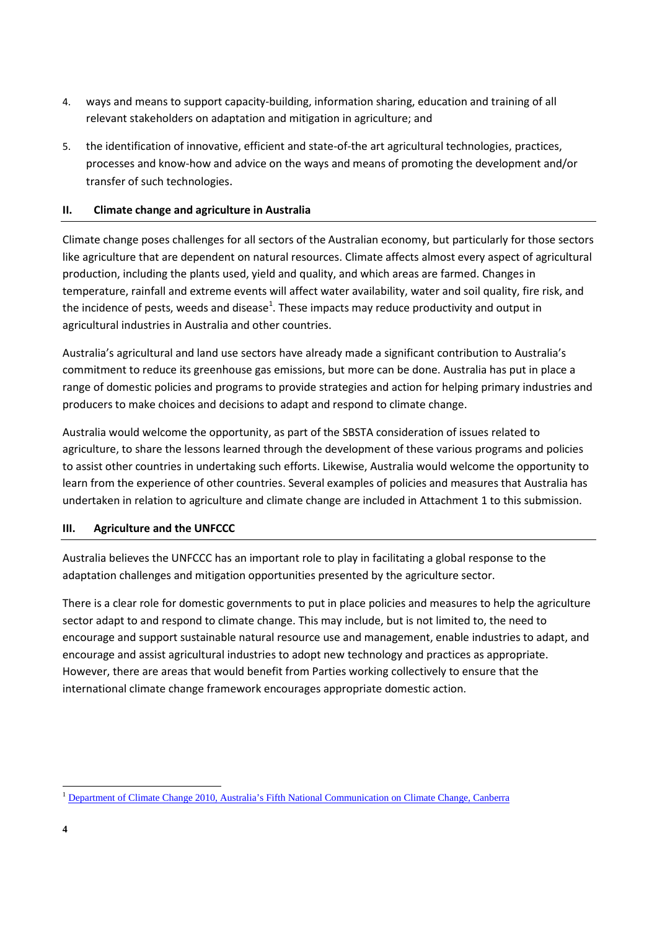- 4. ways and means to support capacity-building, information sharing, education and training of all relevant stakeholders on adaptation and mitigation in agriculture; and
- 5. the identification of innovative, efficient and state-of-the art agricultural technologies, practices, processes and know-how and advice on the ways and means of promoting the development and/or transfer of such technologies.

# **II. Climate change and agriculture in Australia**

Climate change poses challenges for all sectors of the Australian economy, but particularly for those sectors like agriculture that are dependent on natural resources. Climate affects almost every aspect of agricultural production, including the plants used, yield and quality, and which areas are farmed. Changes in temperature, rainfall and extreme events will affect water availability, water and soil quality, fire risk, and the incidence of pests, weeds and disease<sup>1</sup>. These impacts may reduce productivity and output in agricultural industries in Australia and other countries.

Australia's agricultural and land use sectors have already made a significant contribution to Australia's commitment to reduce its greenhouse gas emissions, but more can be done. Australia has put in place a range of domestic policies and programs to provide strategies and action for helping primary industries and producers to make choices and decisions to adapt and respond to climate change.

Australia would welcome the opportunity, as part of the SBSTA consideration of issues related to agriculture, to share the lessons learned through the development of these various programs and policies to assist other countries in undertaking such efforts. Likewise, Australia would welcome the opportunity to learn from the experience of other countries. Several examples of policies and measures that Australia has undertaken in relation to agriculture and climate change are included in Attachment 1 to this submission.

# **III. Agriculture and the UNFCCC**

Australia believes the UNFCCC has an important role to play in facilitating a global response to the adaptation challenges and mitigation opportunities presented by the agriculture sector.

There is a clear role for domestic governments to put in place policies and measures to help the agriculture sector adapt to and respond to climate change. This may include, but is not limited to, the need to encourage and support sustainable natural resource use and management, enable industries to adapt, and encourage and assist agricultural industries to adopt new technology and practices as appropriate. However, there are areas that would benefit from Parties working collectively to ensure that the international climate change framework encourages appropriate domestic action.

 $\overline{a}$ 

<sup>&</sup>lt;sup>1</sup> Department of Climate Change 2010, Australia's Fifth National Communication on Climate Change, Canberra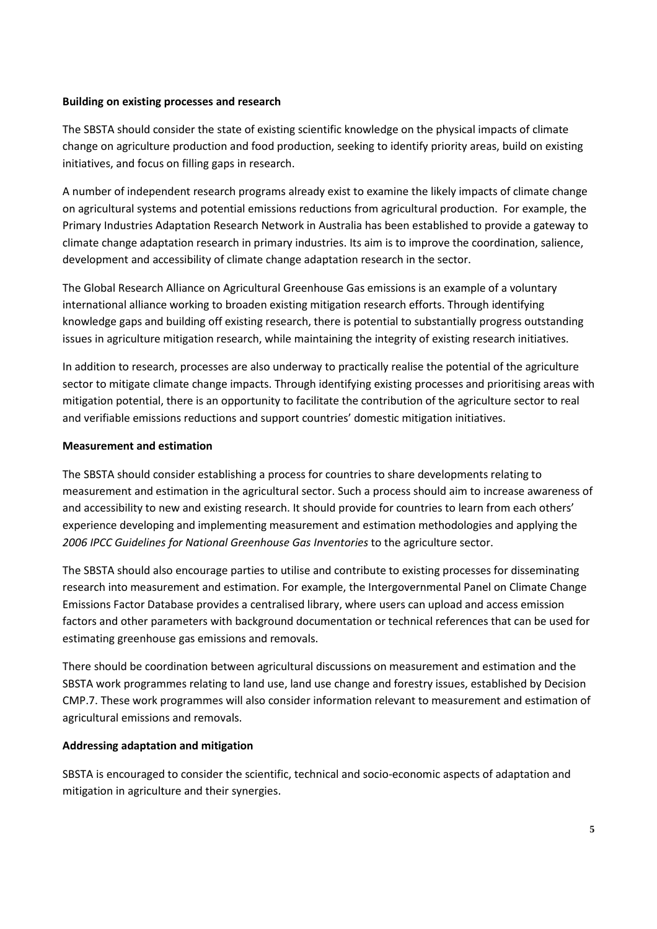#### **Building on existing processes and research**

The SBSTA should consider the state of existing scientific knowledge on the physical impacts of climate change on agriculture production and food production, seeking to identify priority areas, build on existing initiatives, and focus on filling gaps in research.

A number of independent research programs already exist to examine the likely impacts of climate change on agricultural systems and potential emissions reductions from agricultural production. For example, the Primary Industries Adaptation Research Network in Australia has been established to provide a gateway to climate change adaptation research in primary industries. Its aim is to improve the coordination, salience, development and accessibility of climate change adaptation research in the sector.

The Global Research Alliance on Agricultural Greenhouse Gas emissions is an example of a voluntary international alliance working to broaden existing mitigation research efforts. Through identifying knowledge gaps and building off existing research, there is potential to substantially progress outstanding issues in agriculture mitigation research, while maintaining the integrity of existing research initiatives.

In addition to research, processes are also underway to practically realise the potential of the agriculture sector to mitigate climate change impacts. Through identifying existing processes and prioritising areas with mitigation potential, there is an opportunity to facilitate the contribution of the agriculture sector to real and verifiable emissions reductions and support countries' domestic mitigation initiatives.

#### **Measurement and estimation**

The SBSTA should consider establishing a process for countries to share developments relating to measurement and estimation in the agricultural sector. Such a process should aim to increase awareness of and accessibility to new and existing research. It should provide for countries to learn from each others' experience developing and implementing measurement and estimation methodologies and applying the *2006 IPCC Guidelines for National Greenhouse Gas Inventories* to the agriculture sector.

The SBSTA should also encourage parties to utilise and contribute to existing processes for disseminating research into measurement and estimation. For example, the Intergovernmental Panel on Climate Change Emissions Factor Database provides a centralised library, where users can upload and access emission factors and other parameters with background documentation or technical references that can be used for estimating greenhouse gas emissions and removals.

There should be coordination between agricultural discussions on measurement and estimation and the SBSTA work programmes relating to land use, land use change and forestry issues, established by Decision CMP.7. These work programmes will also consider information relevant to measurement and estimation of agricultural emissions and removals.

# **Addressing adaptation and mitigation**

SBSTA is encouraged to consider the scientific, technical and socio-economic aspects of adaptation and mitigation in agriculture and their synergies.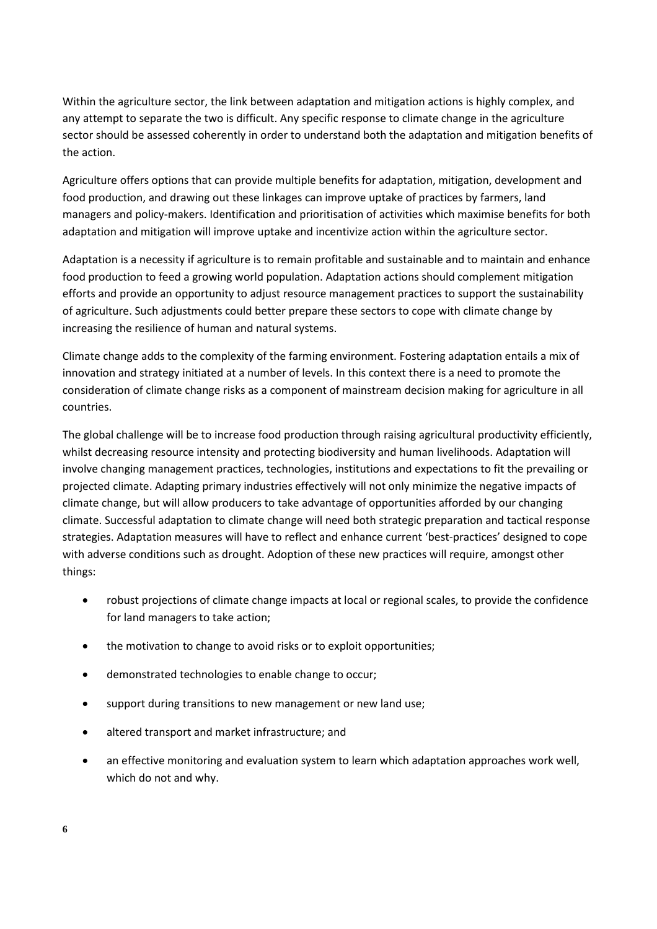Within the agriculture sector, the link between adaptation and mitigation actions is highly complex, and any attempt to separate the two is difficult. Any specific response to climate change in the agriculture sector should be assessed coherently in order to understand both the adaptation and mitigation benefits of the action.

Agriculture offers options that can provide multiple benefits for adaptation, mitigation, development and food production, and drawing out these linkages can improve uptake of practices by farmers, land managers and policy-makers. Identification and prioritisation of activities which maximise benefits for both adaptation and mitigation will improve uptake and incentivize action within the agriculture sector.

Adaptation is a necessity if agriculture is to remain profitable and sustainable and to maintain and enhance food production to feed a growing world population. Adaptation actions should complement mitigation efforts and provide an opportunity to adjust resource management practices to support the sustainability of agriculture. Such adjustments could better prepare these sectors to cope with climate change by increasing the resilience of human and natural systems.

Climate change adds to the complexity of the farming environment. Fostering adaptation entails a mix of innovation and strategy initiated at a number of levels. In this context there is a need to promote the consideration of climate change risks as a component of mainstream decision making for agriculture in all countries.

The global challenge will be to increase food production through raising agricultural productivity efficiently, whilst decreasing resource intensity and protecting biodiversity and human livelihoods. Adaptation will involve changing management practices, technologies, institutions and expectations to fit the prevailing or projected climate. Adapting primary industries effectively will not only minimize the negative impacts of climate change, but will allow producers to take advantage of opportunities afforded by our changing climate. Successful adaptation to climate change will need both strategic preparation and tactical response strategies. Adaptation measures will have to reflect and enhance current 'best-practices' designed to cope with adverse conditions such as drought. Adoption of these new practices will require, amongst other things:

- robust projections of climate change impacts at local or regional scales, to provide the confidence for land managers to take action;
- the motivation to change to avoid risks or to exploit opportunities;
- demonstrated technologies to enable change to occur;
- support during transitions to new management or new land use;
- altered transport and market infrastructure; and
- an effective monitoring and evaluation system to learn which adaptation approaches work well, which do not and why.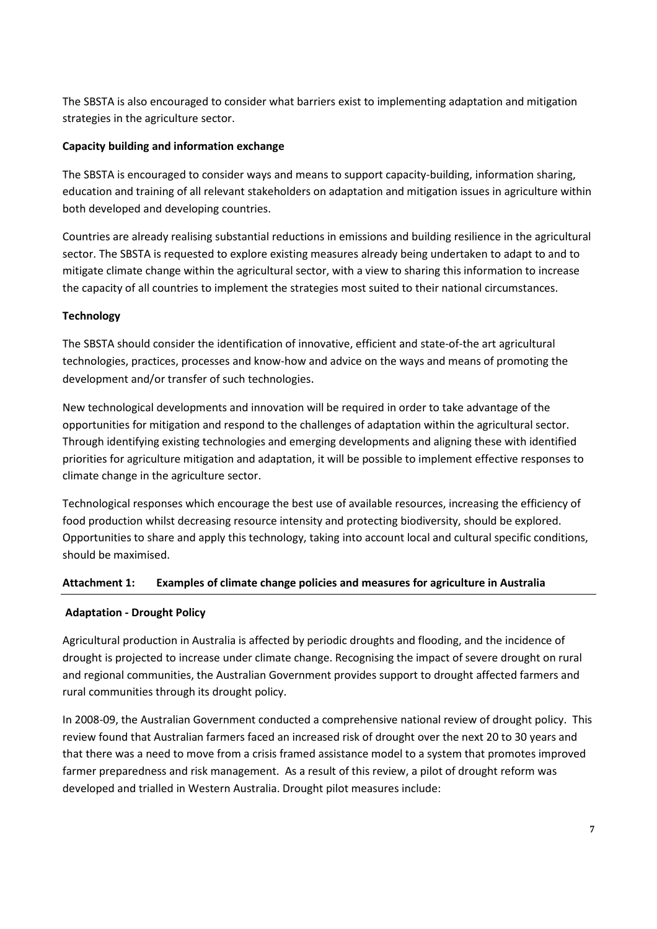The SBSTA is also encouraged to consider what barriers exist to implementing adaptation and mitigation strategies in the agriculture sector.

# **Capacity building and information exchange**

The SBSTA is encouraged to consider ways and means to support capacity-building, information sharing, education and training of all relevant stakeholders on adaptation and mitigation issues in agriculture within both developed and developing countries.

Countries are already realising substantial reductions in emissions and building resilience in the agricultural sector. The SBSTA is requested to explore existing measures already being undertaken to adapt to and to mitigate climate change within the agricultural sector, with a view to sharing this information to increase the capacity of all countries to implement the strategies most suited to their national circumstances.

# **Technology**

The SBSTA should consider the identification of innovative, efficient and state-of-the art agricultural technologies, practices, processes and know-how and advice on the ways and means of promoting the development and/or transfer of such technologies.

New technological developments and innovation will be required in order to take advantage of the opportunities for mitigation and respond to the challenges of adaptation within the agricultural sector. Through identifying existing technologies and emerging developments and aligning these with identified priorities for agriculture mitigation and adaptation, it will be possible to implement effective responses to climate change in the agriculture sector.

Technological responses which encourage the best use of available resources, increasing the efficiency of food production whilst decreasing resource intensity and protecting biodiversity, should be explored. Opportunities to share and apply this technology, taking into account local and cultural specific conditions, should be maximised.

# **Attachment 1: Examples of climate change policies and measures for agriculture in Australia**

# **Adaptation - Drought Policy**

Agricultural production in Australia is affected by periodic droughts and flooding, and the incidence of drought is projected to increase under climate change. Recognising the impact of severe drought on rural and regional communities, the Australian Government provides support to drought affected farmers and rural communities through its drought policy.

In 2008-09, the Australian Government conducted a comprehensive national review of drought policy. This review found that Australian farmers faced an increased risk of drought over the next 20 to 30 years and that there was a need to move from a crisis framed assistance model to a system that promotes improved farmer preparedness and risk management. As a result of this review, a pilot of drought reform was developed and trialled in Western Australia. Drought pilot measures include: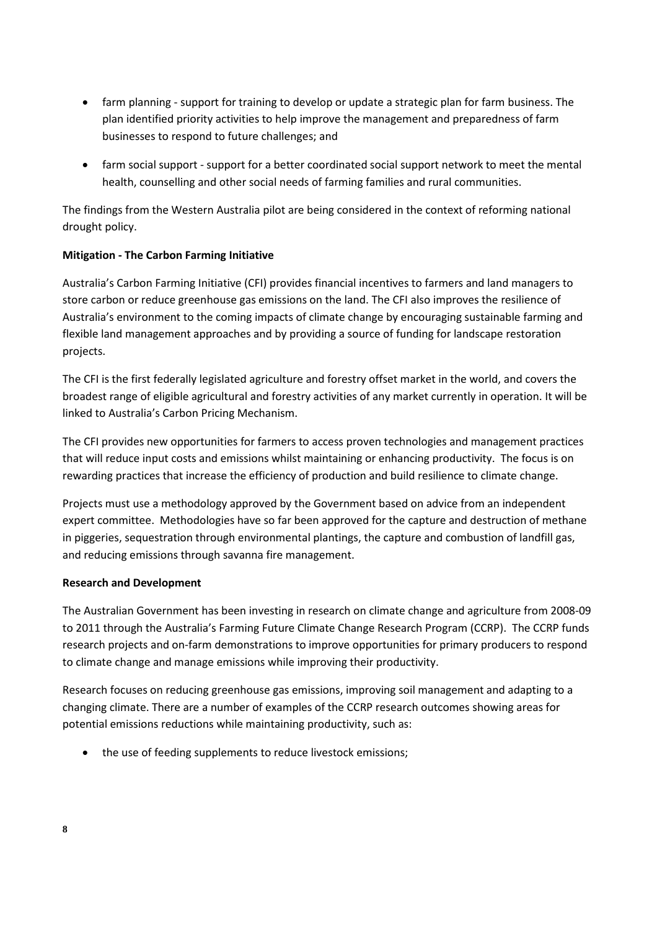- farm planning support for training to develop or update a strategic plan for farm business. The plan identified priority activities to help improve the management and preparedness of farm businesses to respond to future challenges; and
- farm social support support for a better coordinated social support network to meet the mental health, counselling and other social needs of farming families and rural communities.

The findings from the Western Australia pilot are being considered in the context of reforming national drought policy.

# **Mitigation - The Carbon Farming Initiative**

Australia's Carbon Farming Initiative (CFI) provides financial incentives to farmers and land managers to store carbon or reduce greenhouse gas emissions on the land. The CFI also improves the resilience of Australia's environment to the coming impacts of climate change by encouraging sustainable farming and flexible land management approaches and by providing a source of funding for landscape restoration projects.

The CFI is the first federally legislated agriculture and forestry offset market in the world, and covers the broadest range of eligible agricultural and forestry activities of any market currently in operation. It will be linked to Australia's Carbon Pricing Mechanism.

The CFI provides new opportunities for farmers to access proven technologies and management practices that will reduce input costs and emissions whilst maintaining or enhancing productivity. The focus is on rewarding practices that increase the efficiency of production and build resilience to climate change.

Projects must use a methodology approved by the Government based on advice from an independent expert committee. Methodologies have so far been approved for the capture and destruction of methane in piggeries, sequestration through environmental plantings, the capture and combustion of landfill gas, and reducing emissions through savanna fire management.

# **Research and Development**

The Australian Government has been investing in research on climate change and agriculture from 2008-09 to 2011 through the Australia's Farming Future Climate Change Research Program (CCRP). The CCRP funds research projects and on-farm demonstrations to improve opportunities for primary producers to respond to climate change and manage emissions while improving their productivity.

Research focuses on reducing greenhouse gas emissions, improving soil management and adapting to a changing climate. There are a number of examples of the CCRP research outcomes showing areas for potential emissions reductions while maintaining productivity, such as:

• the use of feeding supplements to reduce livestock emissions;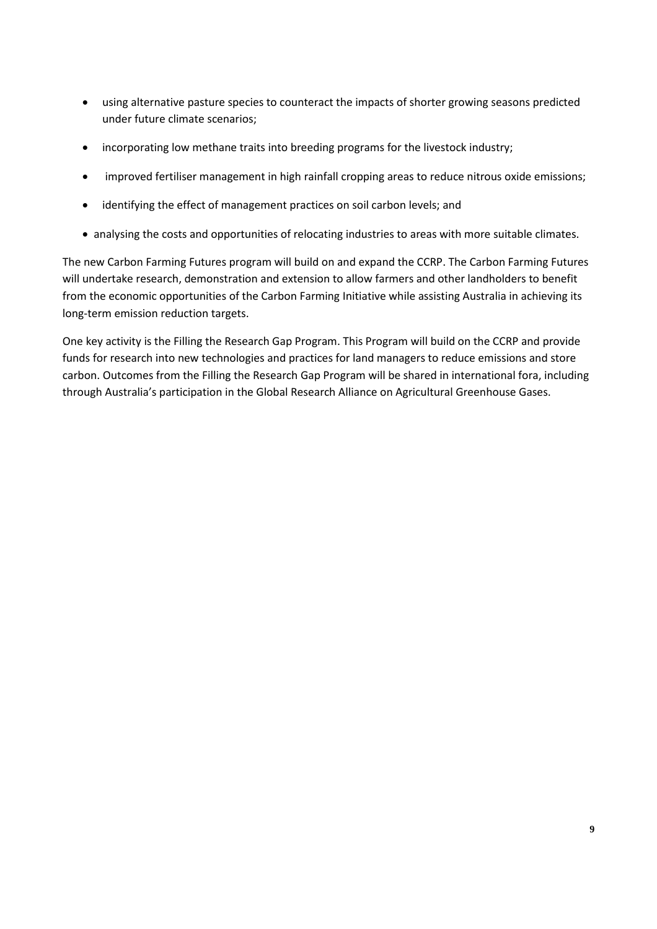- using alternative pasture species to counteract the impacts of shorter growing seasons predicted under future climate scenarios;
- incorporating low methane traits into breeding programs for the livestock industry;
- improved fertiliser management in high rainfall cropping areas to reduce nitrous oxide emissions;
- identifying the effect of management practices on soil carbon levels; and
- analysing the costs and opportunities of relocating industries to areas with more suitable climates.

The new Carbon Farming Futures program will build on and expand the CCRP. The Carbon Farming Futures will undertake research, demonstration and extension to allow farmers and other landholders to benefit from the economic opportunities of the Carbon Farming Initiative while assisting Australia in achieving its long-term emission reduction targets.

One key activity is the Filling the Research Gap Program. This Program will build on the CCRP and provide funds for research into new technologies and practices for land managers to reduce emissions and store carbon. Outcomes from the Filling the Research Gap Program will be shared in international fora, including through Australia's participation in the Global Research Alliance on Agricultural Greenhouse Gases.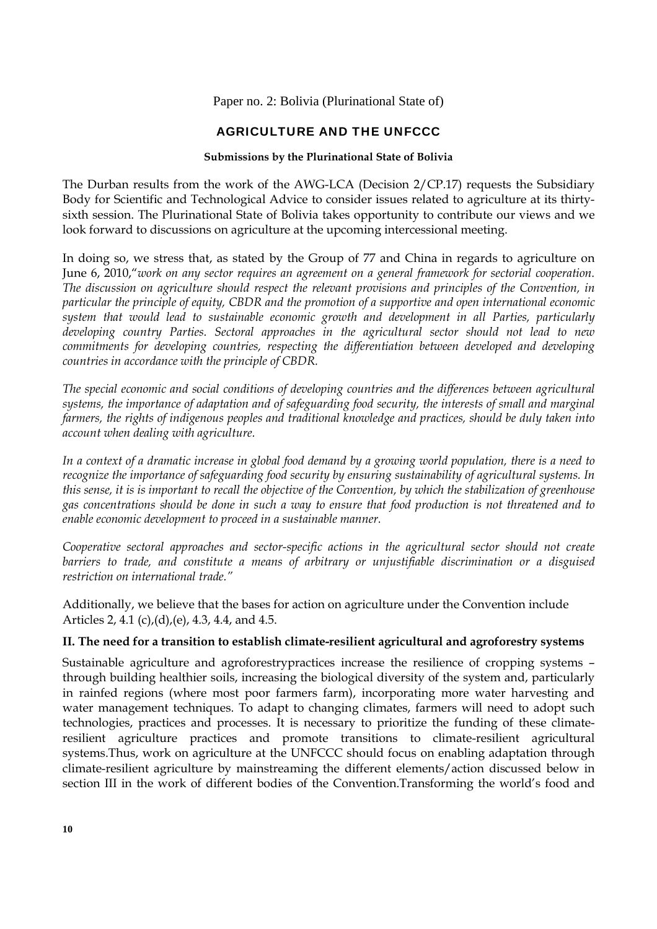Paper no. 2: Bolivia (Plurinational State of)

# AGRICULTURE AND THE UNFCCC

# **Submissions by the Plurinational State of Bolivia**

The Durban results from the work of the AWG-LCA (Decision 2/CP.17) requests the Subsidiary Body for Scientific and Technological Advice to consider issues related to agriculture at its thirtysixth session. The Plurinational State of Bolivia takes opportunity to contribute our views and we look forward to discussions on agriculture at the upcoming intercessional meeting.

In doing so, we stress that, as stated by the Group of 77 and China in regards to agriculture on June 6, 2010,"*work on any sector requires an agreement on a general framework for sectorial cooperation. The discussion on agriculture should respect the relevant provisions and principles of the Convention, in particular the principle of equity, CBDR and the promotion of a supportive and open international economic system that would lead to sustainable economic growth and development in all Parties, particularly developing country Parties. Sectoral approaches in the agricultural sector should not lead to new commitments for developing countries, respecting the differentiation between developed and developing countries in accordance with the principle of CBDR.* 

*The special economic and social conditions of developing countries and the differences between agricultural systems, the importance of adaptation and of safeguarding food security, the interests of small and marginal farmers, the rights of indigenous peoples and traditional knowledge and practices, should be duly taken into account when dealing with agriculture.* 

*In a context of a dramatic increase in global food demand by a growing world population, there is a need to recognize the importance of safeguarding food security by ensuring sustainability of agricultural systems. In this sense, it is is important to recall the objective of the Convention, by which the stabilization of greenhouse gas concentrations should be done in such a way to ensure that food production is not threatened and to enable economic development to proceed in a sustainable manner.* 

*Cooperative sectoral approaches and sector-specific actions in the agricultural sector should not create barriers to trade, and constitute a means of arbitrary or unjustifiable discrimination or a disguised restriction on international trade."* 

Additionally, we believe that the bases for action on agriculture under the Convention include Articles 2, 4.1 (c),(d),(e), 4.3, 4.4, and 4.5.

# **II. The need for a transition to establish climate-resilient agricultural and agroforestry systems**

Sustainable agriculture and agroforestrypractices increase the resilience of cropping systems – through building healthier soils, increasing the biological diversity of the system and, particularly in rainfed regions (where most poor farmers farm), incorporating more water harvesting and water management techniques. To adapt to changing climates, farmers will need to adopt such technologies, practices and processes. It is necessary to prioritize the funding of these climateresilient agriculture practices and promote transitions to climate-resilient agricultural systems.Thus, work on agriculture at the UNFCCC should focus on enabling adaptation through climate-resilient agriculture by mainstreaming the different elements/action discussed below in section III in the work of different bodies of the Convention.Transforming the world's food and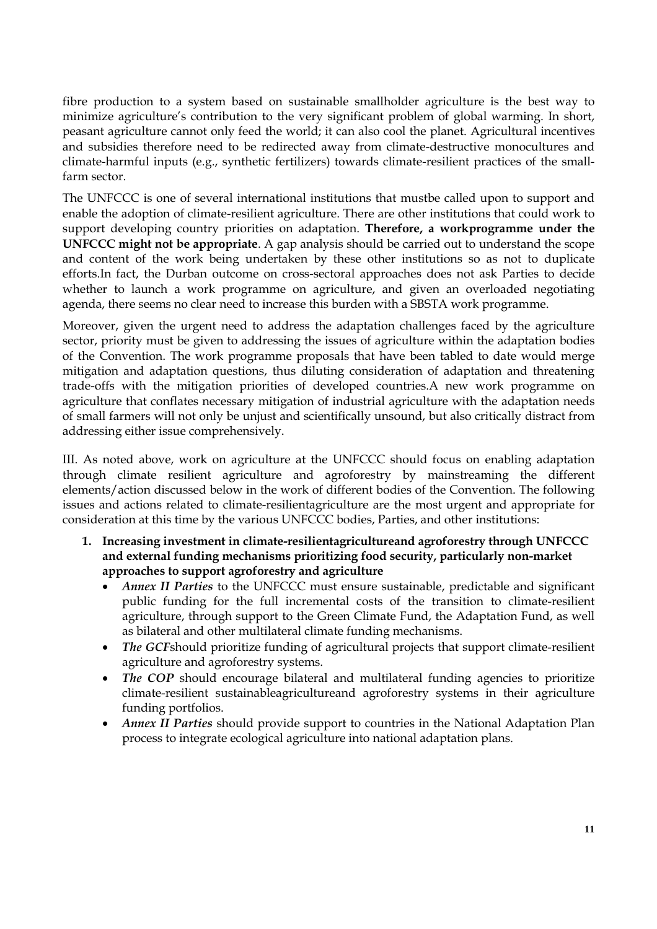fibre production to a system based on sustainable smallholder agriculture is the best way to minimize agriculture's contribution to the very significant problem of global warming. In short, peasant agriculture cannot only feed the world; it can also cool the planet. Agricultural incentives and subsidies therefore need to be redirected away from climate-destructive monocultures and climate-harmful inputs (e.g., synthetic fertilizers) towards climate-resilient practices of the smallfarm sector.

The UNFCCC is one of several international institutions that mustbe called upon to support and enable the adoption of climate-resilient agriculture. There are other institutions that could work to support developing country priorities on adaptation. **Therefore, a workprogramme under the UNFCCC might not be appropriate**. A gap analysis should be carried out to understand the scope and content of the work being undertaken by these other institutions so as not to duplicate efforts.In fact, the Durban outcome on cross-sectoral approaches does not ask Parties to decide whether to launch a work programme on agriculture, and given an overloaded negotiating agenda, there seems no clear need to increase this burden with a SBSTA work programme.

Moreover, given the urgent need to address the adaptation challenges faced by the agriculture sector, priority must be given to addressing the issues of agriculture within the adaptation bodies of the Convention. The work programme proposals that have been tabled to date would merge mitigation and adaptation questions, thus diluting consideration of adaptation and threatening trade-offs with the mitigation priorities of developed countries.A new work programme on agriculture that conflates necessary mitigation of industrial agriculture with the adaptation needs of small farmers will not only be unjust and scientifically unsound, but also critically distract from addressing either issue comprehensively.

III. As noted above, work on agriculture at the UNFCCC should focus on enabling adaptation through climate resilient agriculture and agroforestry by mainstreaming the different elements/action discussed below in the work of different bodies of the Convention. The following issues and actions related to climate-resilientagriculture are the most urgent and appropriate for consideration at this time by the various UNFCCC bodies, Parties, and other institutions:

- **1. Increasing investment in climate-resilientagricultureand agroforestry through UNFCCC and external funding mechanisms prioritizing food security, particularly non-market approaches to support agroforestry and agriculture** 
	- *Annex II Parties* to the UNFCCC must ensure sustainable, predictable and significant public funding for the full incremental costs of the transition to climate-resilient agriculture, through support to the Green Climate Fund, the Adaptation Fund, as well as bilateral and other multilateral climate funding mechanisms.
	- *The GCF*should prioritize funding of agricultural projects that support climate-resilient agriculture and agroforestry systems.
	- The COP should encourage bilateral and multilateral funding agencies to prioritize climate-resilient sustainableagricultureand agroforestry systems in their agriculture funding portfolios.
	- *Annex II Parties* should provide support to countries in the National Adaptation Plan process to integrate ecological agriculture into national adaptation plans.